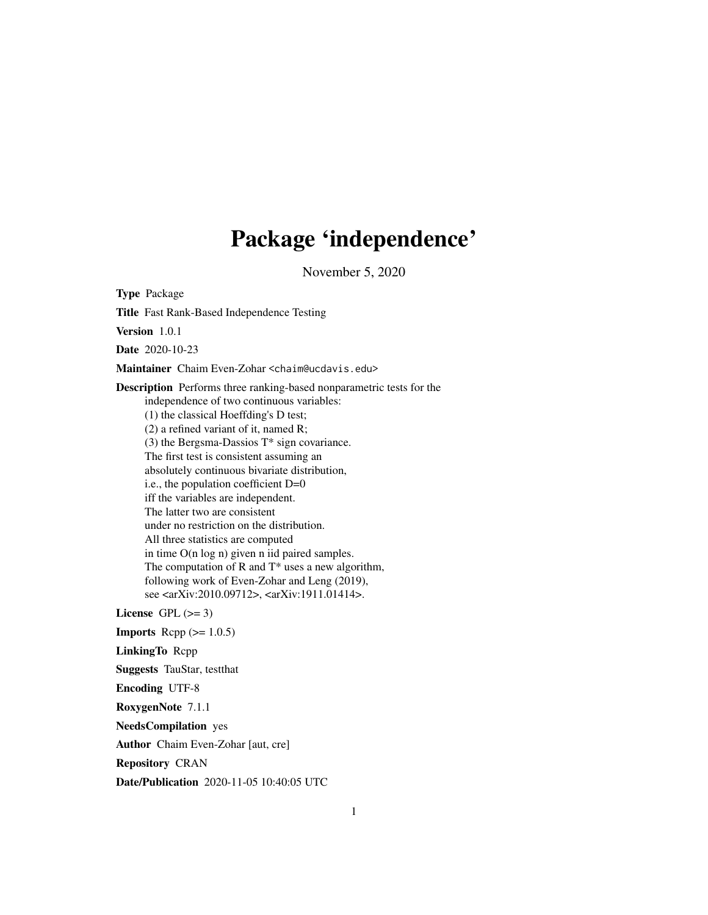## Package 'independence'

November 5, 2020

<span id="page-0-0"></span>Type Package Title Fast Rank-Based Independence Testing Version 1.0.1 Date 2020-10-23 Maintainer Chaim Even-Zohar <chaim@ucdavis.edu> Description Performs three ranking-based nonparametric tests for the independence of two continuous variables: (1) the classical Hoeffding's D test; (2) a refined variant of it, named R;  $(3)$  the Bergsma-Dassios  $T^*$  sign covariance. The first test is consistent assuming an absolutely continuous bivariate distribution, i.e., the population coefficient D=0 iff the variables are independent. The latter two are consistent under no restriction on the distribution. All three statistics are computed in time O(n log n) given n iid paired samples. The computation of R and  $T^*$  uses a new algorithm, following work of Even-Zohar and Leng (2019), see <arXiv:2010.09712>, <arXiv:1911.01414>. License GPL  $(>= 3)$ **Imports** Rcpp  $(>= 1.0.5)$ LinkingTo Rcpp Suggests TauStar, testthat Encoding UTF-8 RoxygenNote 7.1.1 NeedsCompilation yes Author Chaim Even-Zohar [aut, cre] Repository CRAN Date/Publication 2020-11-05 10:40:05 UTC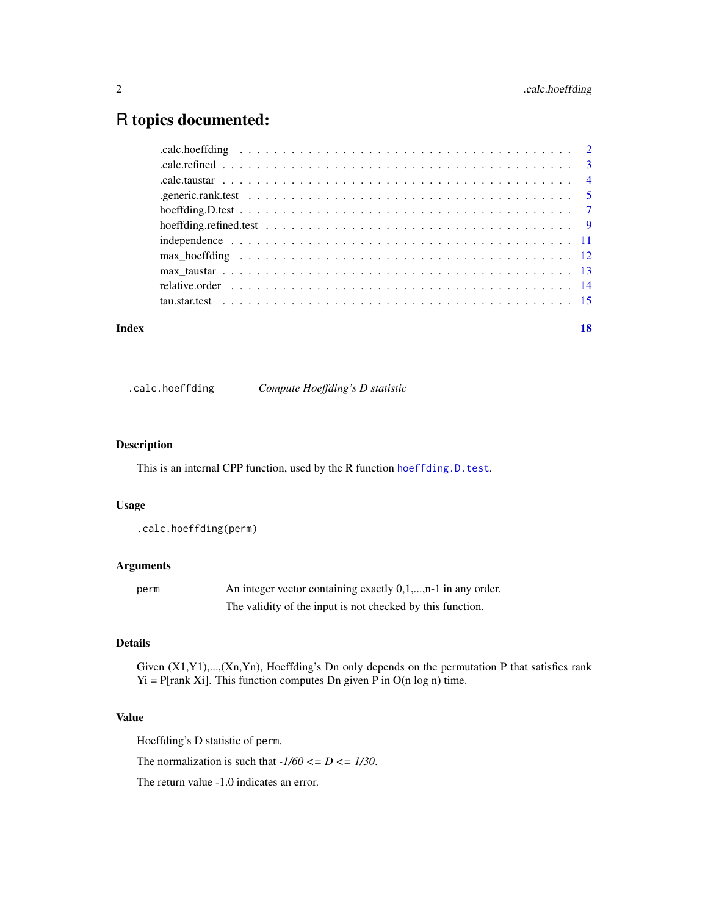### <span id="page-1-0"></span>R topics documented:

#### **Index** 2008 **[18](#page-17-0)**

.calc.hoeffding *Compute Hoeffding's D statistic*

#### Description

This is an internal CPP function, used by the R function [hoeffding.D.test](#page-6-1).

#### Usage

.calc.hoeffding(perm)

#### Arguments

| perm | An integer vector containing exactly $0,1,,n-1$ in any order. |
|------|---------------------------------------------------------------|
|      | The validity of the input is not checked by this function.    |

#### Details

Given (X1,Y1),...,(Xn,Yn), Hoeffding's Dn only depends on the permutation P that satisfies rank  $Yi = P[rank Xi]$ . This function computes Dn given P in O(n log n) time.

#### Value

Hoeffding's D statistic of perm.

The normalization is such that  $-1/60 \leq D \leq 1/30$ .

The return value -1.0 indicates an error.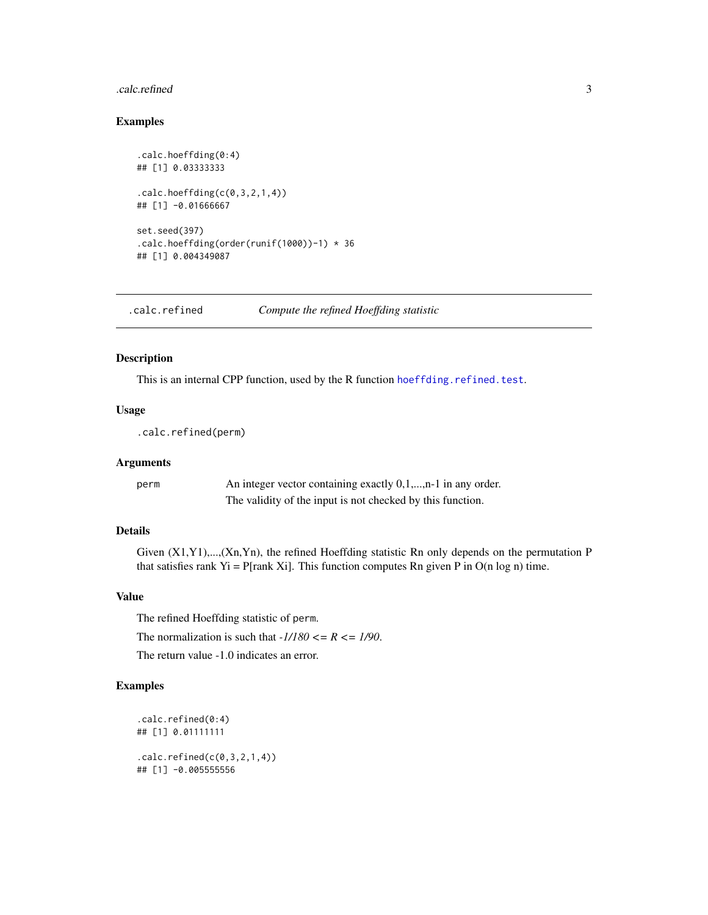#### <span id="page-2-0"></span>.calc.refined 3

#### Examples

```
.calc.hoeffding(0:4)
## [1] 0.03333333
.calc.hoeffding(c(0,3,2,1,4))## [1] -0.01666667
set.seed(397)
.calc.hoeffding(order(runif(1000))-1) * 36
## [1] 0.004349087
```
.calc.refined *Compute the refined Hoeffding statistic*

#### Description

This is an internal CPP function, used by the R function [hoeffding.refined.test](#page-8-1).

#### Usage

.calc.refined(perm)

#### Arguments

perm An integer vector containing exactly 0,1,...,n-1 in any order. The validity of the input is not checked by this function.

#### Details

Given (X1,Y1),...,(Xn,Yn), the refined Hoeffding statistic Rn only depends on the permutation P that satisfies rank Yi = P[rank Xi]. This function computes Rn given P in  $O(n \log n)$  time.

#### Value

The refined Hoeffding statistic of perm.

The normalization is such that  $-1/180 \le R \le 1/90$ .

The return value -1.0 indicates an error.

```
.calc.refined(0:4)
## [1] 0.01111111
.calc.refined(c(0,3,2,1,4))
## [1] -0.005555556
```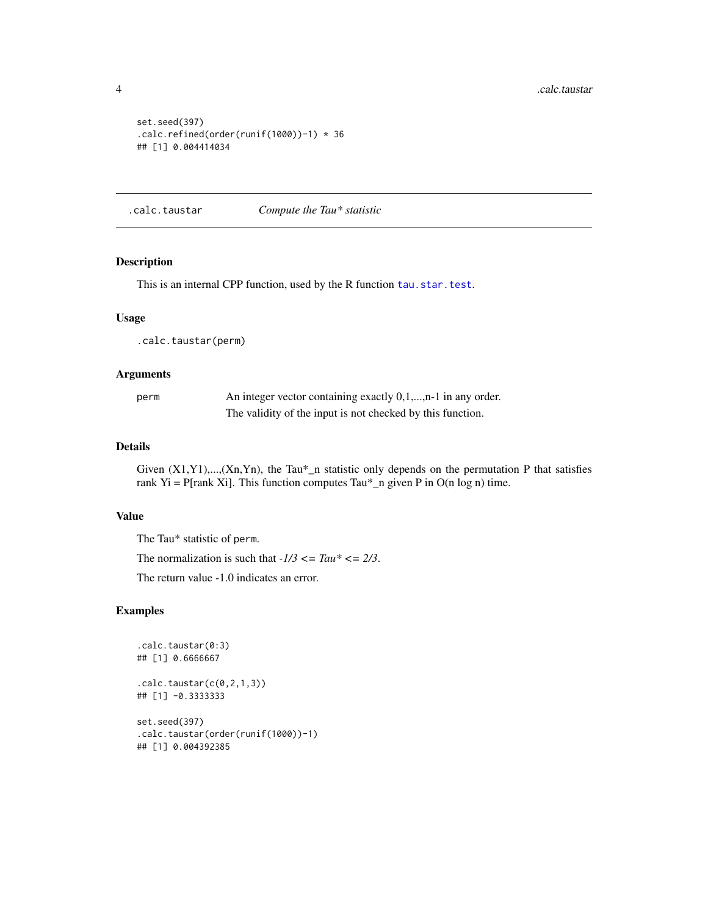```
set.seed(397)
.calc.refined(order(runif(1000))-1) * 36
## [1] 0.004414034
```
.calc.taustar *Compute the Tau\* statistic*

#### <span id="page-3-1"></span>Description

This is an internal CPP function, used by the R function [tau.star.test](#page-14-1).

#### Usage

.calc.taustar(perm)

#### Arguments

| perm | An integer vector containing exactly $0,1,,n-1$ in any order. |
|------|---------------------------------------------------------------|
|      | The validity of the input is not checked by this function.    |

#### Details

Given  $(X1,Y1)$ ,..., $(Xn,Yn)$ , the Tau\*\_n statistic only depends on the permutation P that satisfies rank Yi = P[rank Xi]. This function computes Tau\*\_n given P in  $O(n \log n)$  time.

#### Value

The Tau\* statistic of perm.

The normalization is such that  $-1/3 \leq Tau^* \leq 2/3$ .

The return value -1.0 indicates an error.

```
.calc.taustar(0:3)
## [1] 0.6666667
.calc.taustar(c(0,2,1,3))
## [1] -0.3333333
set.seed(397)
.calc.taustar(order(runif(1000))-1)
## [1] 0.004392385
```
<span id="page-3-0"></span>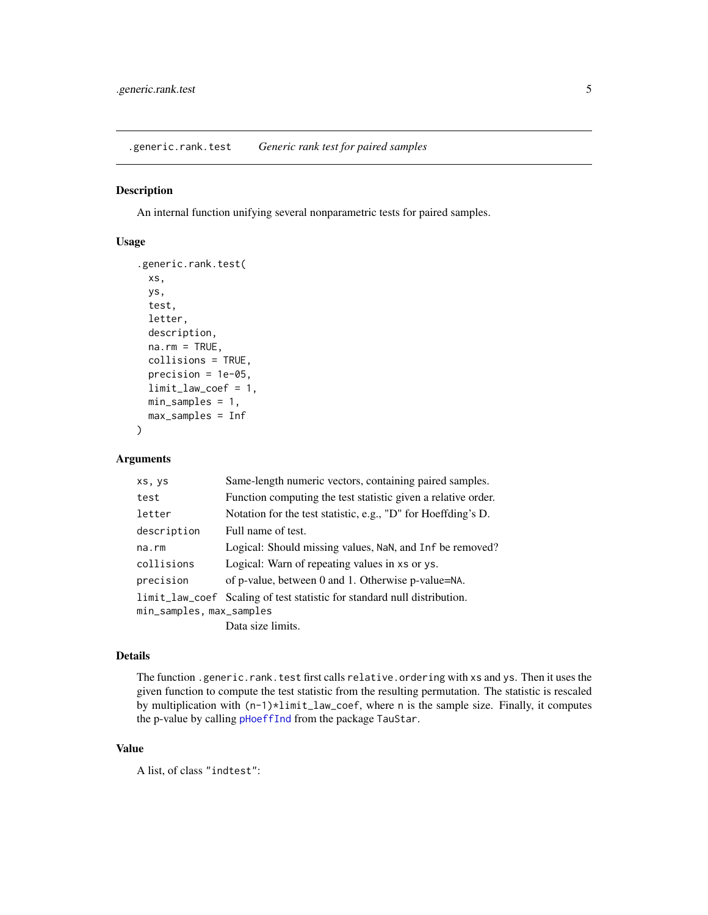<span id="page-4-0"></span>.generic.rank.test *Generic rank test for paired samples*

#### Description

An internal function unifying several nonparametric tests for paired samples.

#### Usage

```
.generic.rank.test(
 xs,
 ys,
  test,
  letter,
  description,
 na.rm = TRUE,collisions = TRUE,
 precision = 1e-05,
 limit_law_coef = 1,
 min_samples = 1,
 max_samples = Inf
)
```
#### Arguments

| xs, ys                   | Same-length numeric vectors, containing paired samples.                  |
|--------------------------|--------------------------------------------------------------------------|
| test                     | Function computing the test statistic given a relative order.            |
| letter                   | Notation for the test statistic, e.g., "D" for Hoeffding's D.            |
| description              | Full name of test.                                                       |
| $na$ . $rm$              | Logical: Should missing values, NaN, and Inf be removed?                 |
| collisions               | Logical: Warn of repeating values in xs or ys.                           |
| precision                | of p-value, between 0 and 1. Otherwise p-value=NA.                       |
|                          | limit_law_coef Scaling of test statistic for standard null distribution. |
| min_samples, max_samples |                                                                          |
|                          | Data size limits.                                                        |

#### Details

The function .generic.rank.test first calls relative.ordering with xs and ys. Then it uses the given function to compute the test statistic from the resulting permutation. The statistic is rescaled by multiplication with (n-1)\*limit\_law\_coef, where n is the sample size. Finally, it computes the p-value by calling [pHoeffInd](#page-0-0) from the package TauStar.

#### Value

A list, of class "indtest":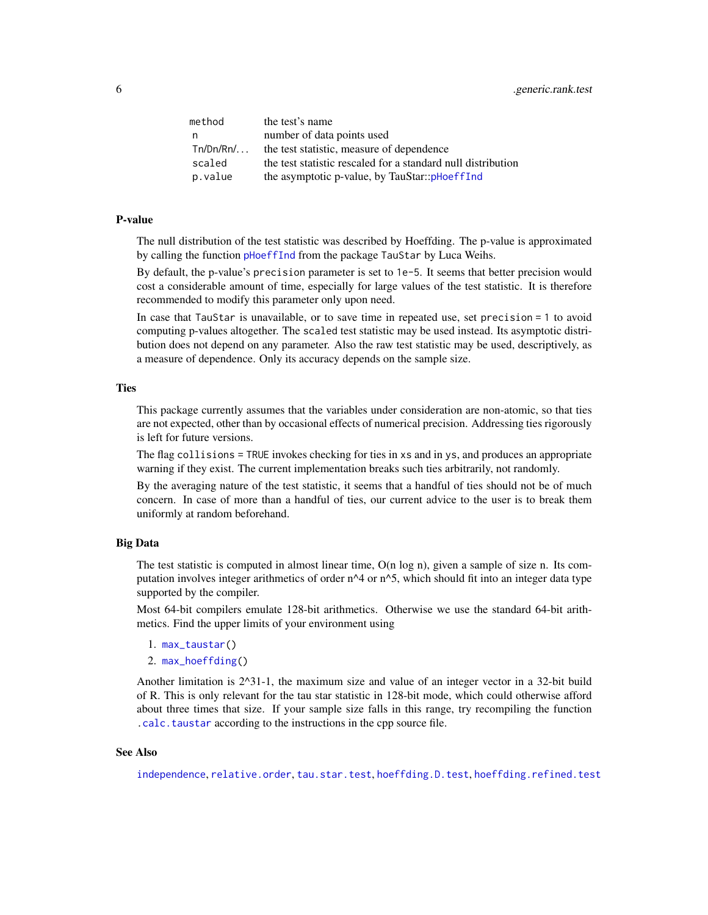<span id="page-5-0"></span>

| method      | the test's name                                              |
|-------------|--------------------------------------------------------------|
| n,          | number of data points used                                   |
| $Tn/Dn/Rn/$ | the test statistic, measure of dependence                    |
| scaled      | the test statistic rescaled for a standard null distribution |
| p.value     | the asymptotic p-value, by TauStar::pHoeffInd                |

#### P-value

The null distribution of the test statistic was described by Hoeffding. The p-value is approximated by calling the function [pHoeffInd](#page-0-0) from the package TauStar by Luca Weihs.

By default, the p-value's precision parameter is set to 1e-5. It seems that better precision would cost a considerable amount of time, especially for large values of the test statistic. It is therefore recommended to modify this parameter only upon need.

In case that TauStar is unavailable, or to save time in repeated use, set precision = 1 to avoid computing p-values altogether. The scaled test statistic may be used instead. Its asymptotic distribution does not depend on any parameter. Also the raw test statistic may be used, descriptively, as a measure of dependence. Only its accuracy depends on the sample size.

#### **Ties**

This package currently assumes that the variables under consideration are non-atomic, so that ties are not expected, other than by occasional effects of numerical precision. Addressing ties rigorously is left for future versions.

The flag collisions = TRUE invokes checking for ties in xs and in ys, and produces an appropriate warning if they exist. The current implementation breaks such ties arbitrarily, not randomly.

By the averaging nature of the test statistic, it seems that a handful of ties should not be of much concern. In case of more than a handful of ties, our current advice to the user is to break them uniformly at random beforehand.

#### Big Data

The test statistic is computed in almost linear time,  $O(n \log n)$ , given a sample of size n. Its computation involves integer arithmetics of order  $n^4$  or  $n^5$ , which should fit into an integer data type supported by the compiler.

Most 64-bit compilers emulate 128-bit arithmetics. Otherwise we use the standard 64-bit arithmetics. Find the upper limits of your environment using

- 1. [max\\_taustar\(](#page-12-1))
- 2. [max\\_hoeffding\(](#page-11-1))

Another limitation is 2^31-1, the maximum size and value of an integer vector in a 32-bit build of R. This is only relevant for the tau star statistic in 128-bit mode, which could otherwise afford about three times that size. If your sample size falls in this range, try recompiling the function [.calc.taustar](#page-3-1) according to the instructions in the cpp source file.

#### See Also

[independence](#page-10-1), [relative.order](#page-13-1), [tau.star.test](#page-14-1), [hoeffding.D.test](#page-6-1), [hoeffding.refined.test](#page-8-1)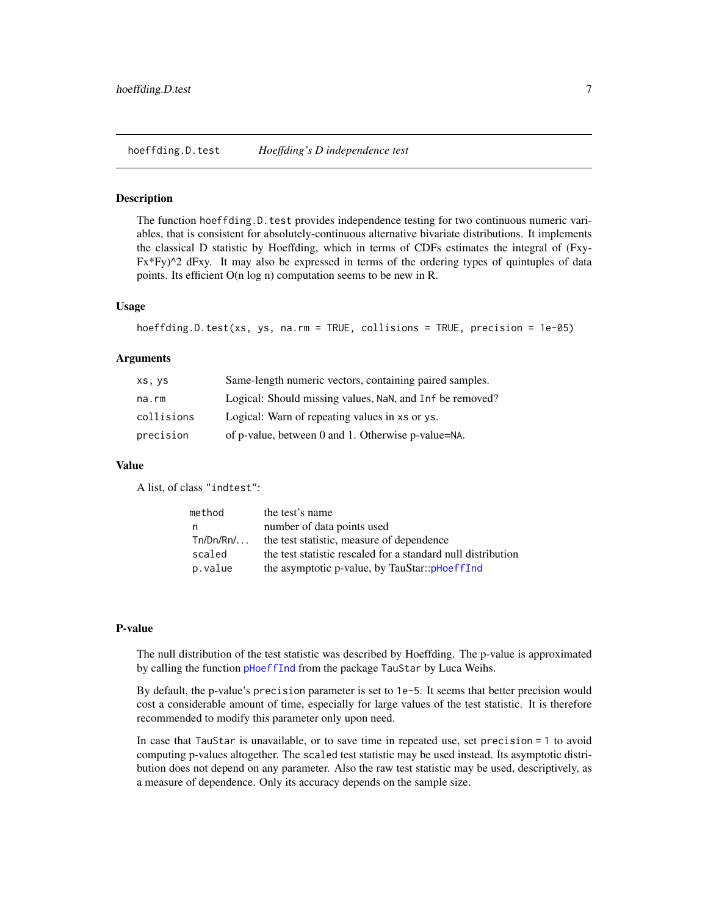#### <span id="page-6-1"></span><span id="page-6-0"></span>Description

The function hoeffding.D.test provides independence testing for two continuous numeric variables, that is consistent for absolutely-continuous alternative bivariate distributions. It implements the classical D statistic by Hoeffding, which in terms of CDFs estimates the integral of (Fxy- $Fx*Fy)^2$  dFxy. It may also be expressed in terms of the ordering types of quintuples of data points. Its efficient O(n log n) computation seems to be new in R.

#### Usage

```
hoeffding.D.test(xs, ys, na.rm = TRUE, collisions = TRUE, precision = 1e-05)
```
#### Arguments

| XS, yS     | Same-length numeric vectors, containing paired samples.  |
|------------|----------------------------------------------------------|
| na.rm      | Logical: Should missing values, NaN, and Inf be removed? |
| collisions | Logical: Warn of repeating values in xs or ys.           |
| precision  | of p-value, between 0 and 1. Otherwise p-value=NA.       |

#### Value

A list, of class "indtest":

| method      | the test's name                                              |
|-------------|--------------------------------------------------------------|
| n           | number of data points used                                   |
| $Tn/Dn/Rn/$ | the test statistic, measure of dependence                    |
| scaled      | the test statistic rescaled for a standard null distribution |
| p.value     | the asymptotic p-value, by TauStar::pHoeffInd                |

#### P-value

The null distribution of the test statistic was described by Hoeffding. The p-value is approximated by calling the function [pHoeffInd](#page-0-0) from the package TauStar by Luca Weihs.

By default, the p-value's precision parameter is set to 1e-5. It seems that better precision would cost a considerable amount of time, especially for large values of the test statistic. It is therefore recommended to modify this parameter only upon need.

In case that TauStar is unavailable, or to save time in repeated use, set precision = 1 to avoid computing p-values altogether. The scaled test statistic may be used instead. Its asymptotic distribution does not depend on any parameter. Also the raw test statistic may be used, descriptively, as a measure of dependence. Only its accuracy depends on the sample size.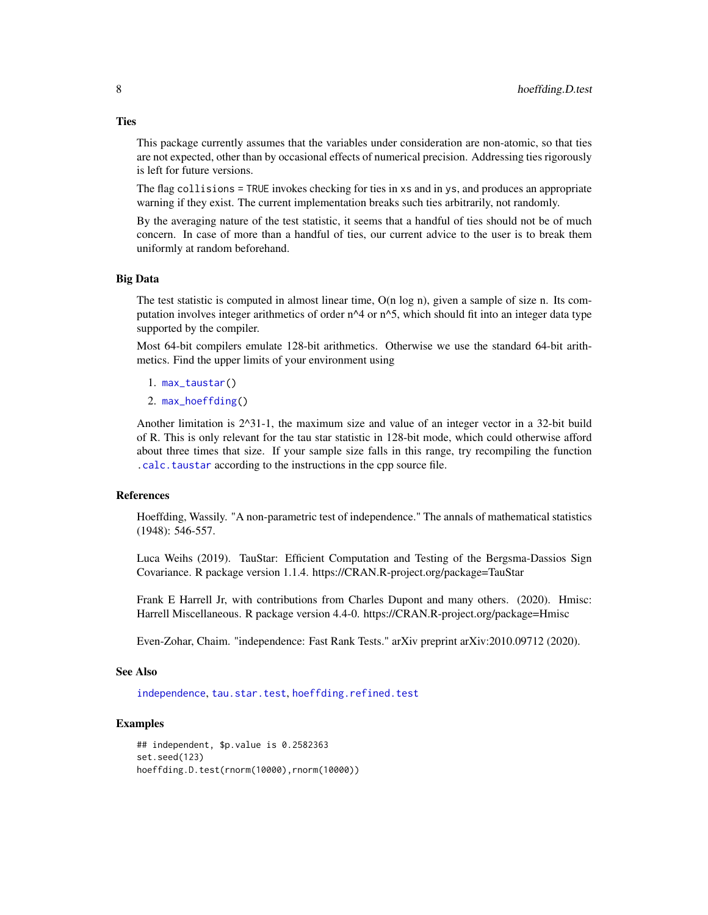This package currently assumes that the variables under consideration are non-atomic, so that ties are not expected, other than by occasional effects of numerical precision. Addressing ties rigorously is left for future versions.

The flag collisions = TRUE invokes checking for ties in xs and in ys, and produces an appropriate warning if they exist. The current implementation breaks such ties arbitrarily, not randomly.

By the averaging nature of the test statistic, it seems that a handful of ties should not be of much concern. In case of more than a handful of ties, our current advice to the user is to break them uniformly at random beforehand.

#### Big Data

The test statistic is computed in almost linear time,  $O(n \log n)$ , given a sample of size n. Its computation involves integer arithmetics of order  $n^4$  or  $n^6$ , which should fit into an integer data type supported by the compiler.

Most 64-bit compilers emulate 128-bit arithmetics. Otherwise we use the standard 64-bit arithmetics. Find the upper limits of your environment using

- 1. [max\\_taustar\(](#page-12-1))
- 2. [max\\_hoeffding\(](#page-11-1))

Another limitation is 2^31-1, the maximum size and value of an integer vector in a 32-bit build of R. This is only relevant for the tau star statistic in 128-bit mode, which could otherwise afford about three times that size. If your sample size falls in this range, try recompiling the function [.calc.taustar](#page-3-1) according to the instructions in the cpp source file.

#### References

Hoeffding, Wassily. "A non-parametric test of independence." The annals of mathematical statistics (1948): 546-557.

Luca Weihs (2019). TauStar: Efficient Computation and Testing of the Bergsma-Dassios Sign Covariance. R package version 1.1.4. https://CRAN.R-project.org/package=TauStar

Frank E Harrell Jr, with contributions from Charles Dupont and many others. (2020). Hmisc: Harrell Miscellaneous. R package version 4.4-0. https://CRAN.R-project.org/package=Hmisc

Even-Zohar, Chaim. "independence: Fast Rank Tests." arXiv preprint arXiv:2010.09712 (2020).

#### See Also

[independence](#page-10-1), [tau.star.test](#page-14-1), [hoeffding.refined.test](#page-8-1)

#### Examples

## independent, \$p.value is 0.2582363 set.seed(123) hoeffding.D.test(rnorm(10000),rnorm(10000))

<span id="page-7-0"></span>

#### **Ties**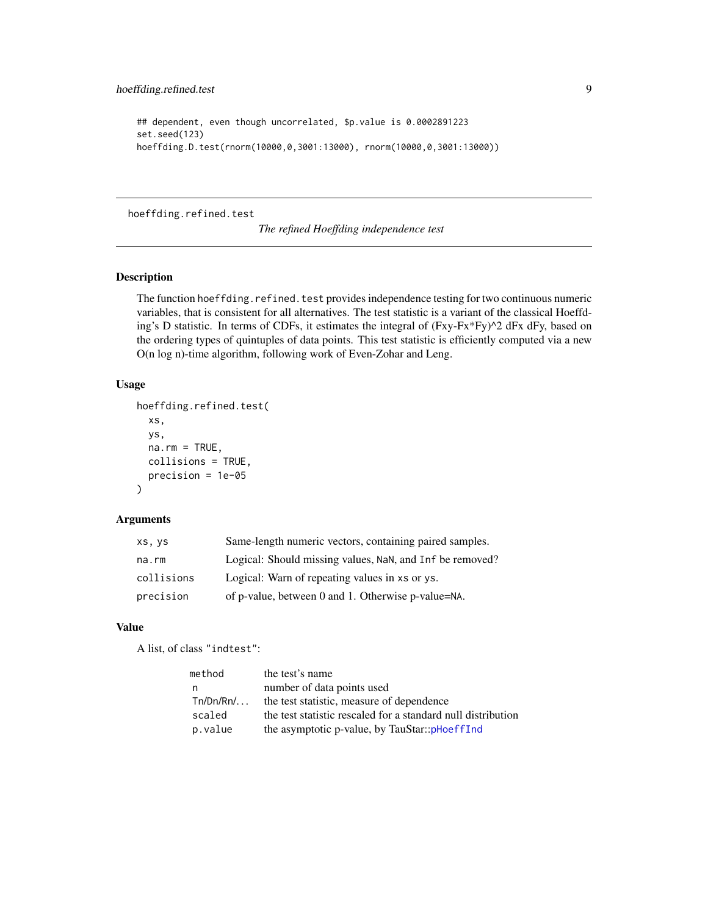```
## dependent, even though uncorrelated, $p.value is 0.0002891223
set.seed(123)
hoeffding.D.test(rnorm(10000,0,3001:13000), rnorm(10000,0,3001:13000))
```
#### <span id="page-8-1"></span>hoeffding.refined.test

*The refined Hoeffding independence test*

#### Description

The function hoeffding.refined.test provides independence testing for two continuous numeric variables, that is consistent for all alternatives. The test statistic is a variant of the classical Hoeffding's D statistic. In terms of CDFs, it estimates the integral of  $(Fxy-Fx*Fy)^2$  dFx dFy, based on the ordering types of quintuples of data points. This test statistic is efficiently computed via a new O(n log n)-time algorithm, following work of Even-Zohar and Leng.

#### Usage

```
hoeffding.refined.test(
  xs,
 ys,
  na.rm = TRUE,collisions = TRUE,
  precision = 1e-05
)
```
#### Arguments

| XS, yS     | Same-length numeric vectors, containing paired samples.  |
|------------|----------------------------------------------------------|
| na.rm      | Logical: Should missing values, NaN, and Inf be removed? |
| collisions | Logical: Warn of repeating values in xs or ys.           |
| precision  | of p-value, between 0 and 1. Otherwise p-value=NA.       |

#### Value

A list, of class "indtest":

| method      | the test's name                                              |
|-------------|--------------------------------------------------------------|
| n           | number of data points used                                   |
| $Tn/Dn/Rn/$ | the test statistic, measure of dependence                    |
| scaled      | the test statistic rescaled for a standard null distribution |
| p.value     | the asymptotic p-value, by TauStar::pHoeffInd                |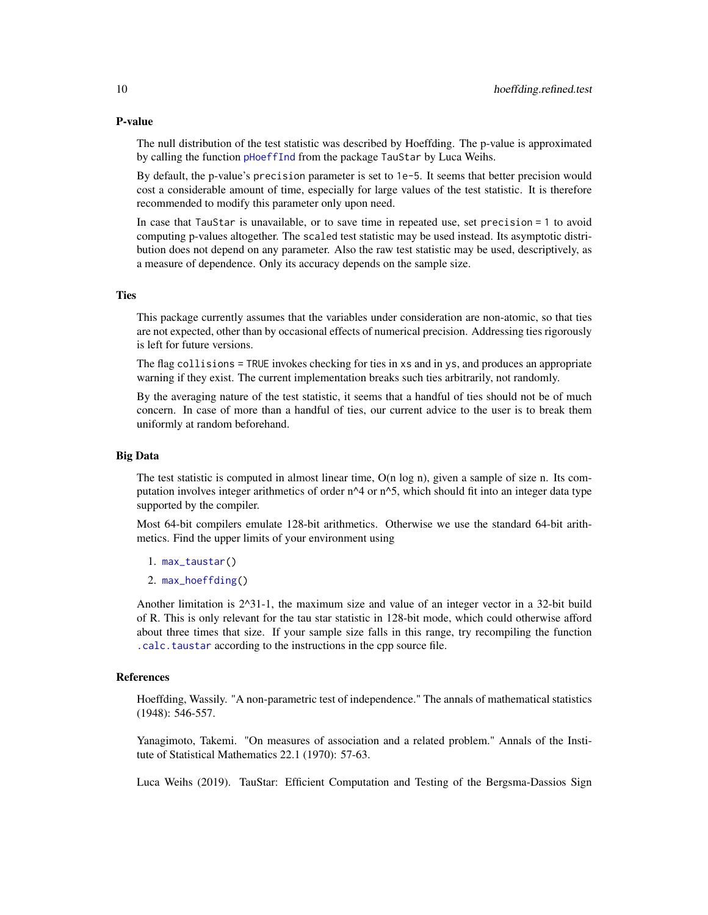#### <span id="page-9-0"></span>P-value

The null distribution of the test statistic was described by Hoeffding. The p-value is approximated by calling the function [pHoeffInd](#page-0-0) from the package TauStar by Luca Weihs.

By default, the p-value's precision parameter is set to 1e-5. It seems that better precision would cost a considerable amount of time, especially for large values of the test statistic. It is therefore recommended to modify this parameter only upon need.

In case that TauStar is unavailable, or to save time in repeated use, set precision = 1 to avoid computing p-values altogether. The scaled test statistic may be used instead. Its asymptotic distribution does not depend on any parameter. Also the raw test statistic may be used, descriptively, as a measure of dependence. Only its accuracy depends on the sample size.

#### **Ties**

This package currently assumes that the variables under consideration are non-atomic, so that ties are not expected, other than by occasional effects of numerical precision. Addressing ties rigorously is left for future versions.

The flag collisions = TRUE invokes checking for ties in xs and in ys, and produces an appropriate warning if they exist. The current implementation breaks such ties arbitrarily, not randomly.

By the averaging nature of the test statistic, it seems that a handful of ties should not be of much concern. In case of more than a handful of ties, our current advice to the user is to break them uniformly at random beforehand.

#### Big Data

The test statistic is computed in almost linear time,  $O(n \log n)$ , given a sample of size n. Its computation involves integer arithmetics of order  $n^4$  or  $n^5$ , which should fit into an integer data type supported by the compiler.

Most 64-bit compilers emulate 128-bit arithmetics. Otherwise we use the standard 64-bit arithmetics. Find the upper limits of your environment using

- 1. [max\\_taustar\(](#page-12-1))
- 2. [max\\_hoeffding\(](#page-11-1))

Another limitation is 2^31-1, the maximum size and value of an integer vector in a 32-bit build of R. This is only relevant for the tau star statistic in 128-bit mode, which could otherwise afford about three times that size. If your sample size falls in this range, try recompiling the function [.calc.taustar](#page-3-1) according to the instructions in the cpp source file.

#### References

Hoeffding, Wassily. "A non-parametric test of independence." The annals of mathematical statistics (1948): 546-557.

Yanagimoto, Takemi. "On measures of association and a related problem." Annals of the Institute of Statistical Mathematics 22.1 (1970): 57-63.

Luca Weihs (2019). TauStar: Efficient Computation and Testing of the Bergsma-Dassios Sign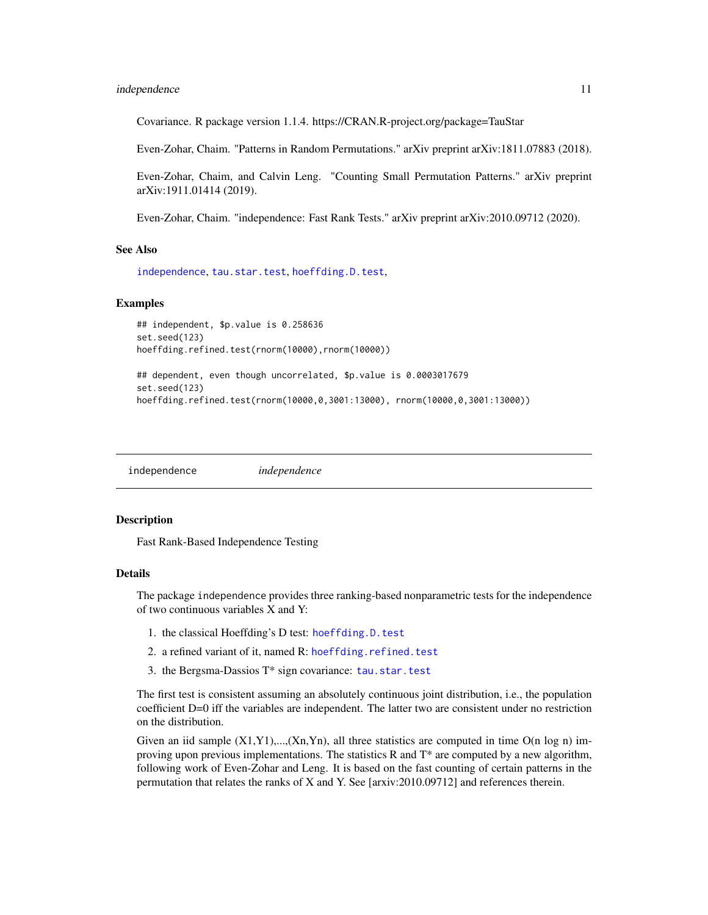#### <span id="page-10-0"></span>independence 11

Covariance. R package version 1.1.4. https://CRAN.R-project.org/package=TauStar

Even-Zohar, Chaim. "Patterns in Random Permutations." arXiv preprint arXiv:1811.07883 (2018).

Even-Zohar, Chaim, and Calvin Leng. "Counting Small Permutation Patterns." arXiv preprint arXiv:1911.01414 (2019).

Even-Zohar, Chaim. "independence: Fast Rank Tests." arXiv preprint arXiv:2010.09712 (2020).

#### See Also

[independence](#page-10-1), [tau.star.test](#page-14-1), [hoeffding.D.test](#page-6-1),

#### Examples

```
## independent, $p.value is 0.258636
set.seed(123)
hoeffding.refined.test(rnorm(10000),rnorm(10000))
```

```
## dependent, even though uncorrelated, $p.value is 0.0003017679
set.seed(123)
hoeffding.refined.test(rnorm(10000,0,3001:13000), rnorm(10000,0,3001:13000))
```
<span id="page-10-1"></span>independence *independence*

#### Description

Fast Rank-Based Independence Testing

#### Details

The package independence provides three ranking-based nonparametric tests for the independence of two continuous variables X and Y:

- 1. the classical Hoeffding's D test: [hoeffding.D.test](#page-6-1)
- 2. a refined variant of it, named R: [hoeffding.refined.test](#page-8-1)
- 3. the Bergsma-Dassios T\* sign covariance: [tau.star.test](#page-14-1)

The first test is consistent assuming an absolutely continuous joint distribution, i.e., the population coefficient D=0 iff the variables are independent. The latter two are consistent under no restriction on the distribution.

Given an iid sample  $(X1,Y1),..., (Xn,Yn)$ , all three statistics are computed in time  $O(n \log n)$  improving upon previous implementations. The statistics R and  $T^*$  are computed by a new algorithm, following work of Even-Zohar and Leng. It is based on the fast counting of certain patterns in the permutation that relates the ranks of X and Y. See [arxiv:2010.09712] and references therein.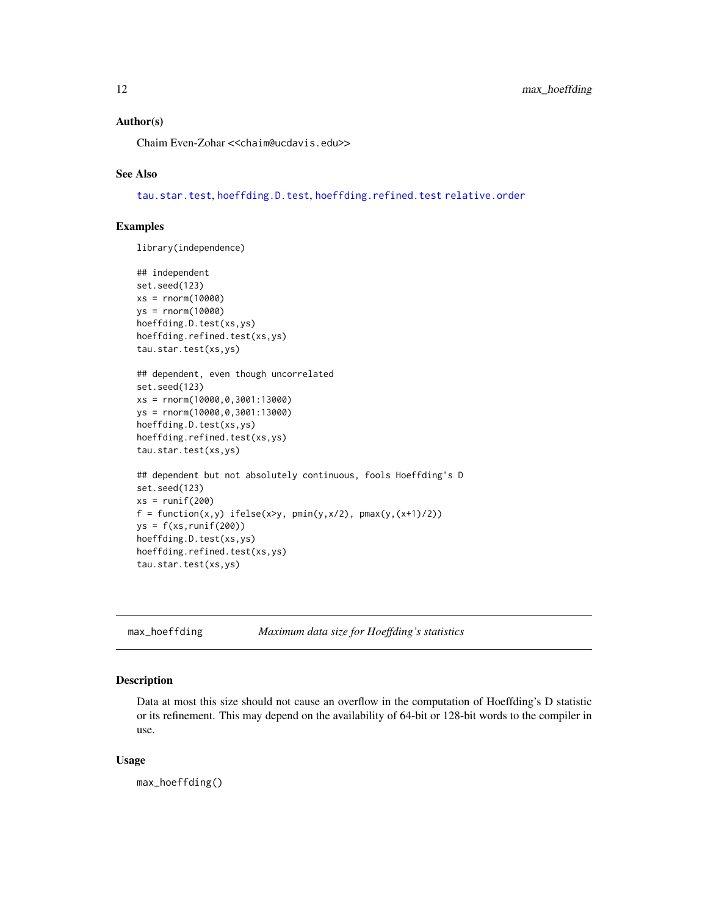#### <span id="page-11-0"></span>Author(s)

Chaim Even-Zohar <<chaim@ucdavis.edu>>

#### See Also

[tau.star.test](#page-14-1), [hoeffding.D.test](#page-6-1), [hoeffding.refined.test](#page-8-1) [relative.order](#page-13-1)

#### Examples

library(independence)

```
## independent
set.seed(123)
xs = rnorm(10000)
ys = rnorm(10000)
hoeffding.D.test(xs,ys)
hoeffding.refined.test(xs,ys)
tau.star.test(xs,ys)
## dependent, even though uncorrelated
set.seed(123)
xs = rnorm(10000,0,3001:13000)
ys = rnorm(10000,0,3001:13000)
hoeffding.D.test(xs,ys)
hoeffding.refined.test(xs,ys)
tau.star.test(xs,ys)
## dependent but not absolutely continuous, fools Hoeffding's D
set.seed(123)
xs = runif(200)f = function(x, y) ifelse(x>y, pmin(y,x/2), pmax(y,(x+1)/2))
ys = f(xs, runif(200))hoeffding.D.test(xs,ys)
hoeffding.refined.test(xs,ys)
tau.star.test(xs,ys)
```
<span id="page-11-1"></span>max\_hoeffding *Maximum data size for Hoeffding's statistics*

#### Description

Data at most this size should not cause an overflow in the computation of Hoeffding's D statistic or its refinement. This may depend on the availability of 64-bit or 128-bit words to the compiler in use.

#### Usage

max\_hoeffding()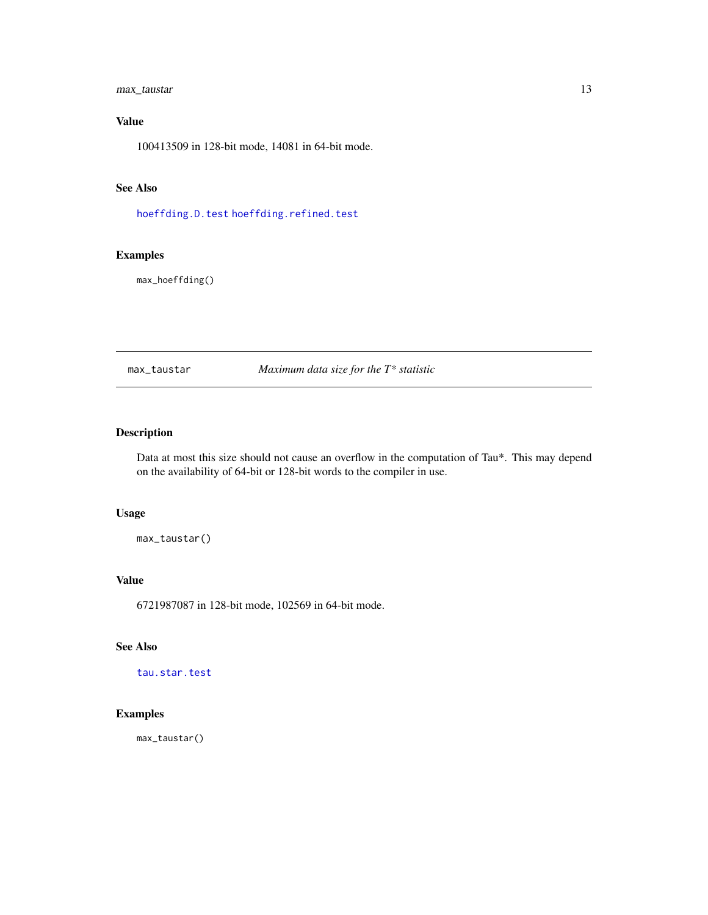#### <span id="page-12-0"></span>max\_taustar 13

#### Value

100413509 in 128-bit mode, 14081 in 64-bit mode.

#### See Also

[hoeffding.D.test](#page-6-1) [hoeffding.refined.test](#page-8-1)

#### Examples

max\_hoeffding()

<span id="page-12-1"></span>max\_taustar *Maximum data size for the T\* statistic*

#### Description

Data at most this size should not cause an overflow in the computation of Tau\*. This may depend on the availability of 64-bit or 128-bit words to the compiler in use.

#### Usage

max\_taustar()

#### Value

6721987087 in 128-bit mode, 102569 in 64-bit mode.

#### See Also

[tau.star.test](#page-14-1)

#### Examples

max\_taustar()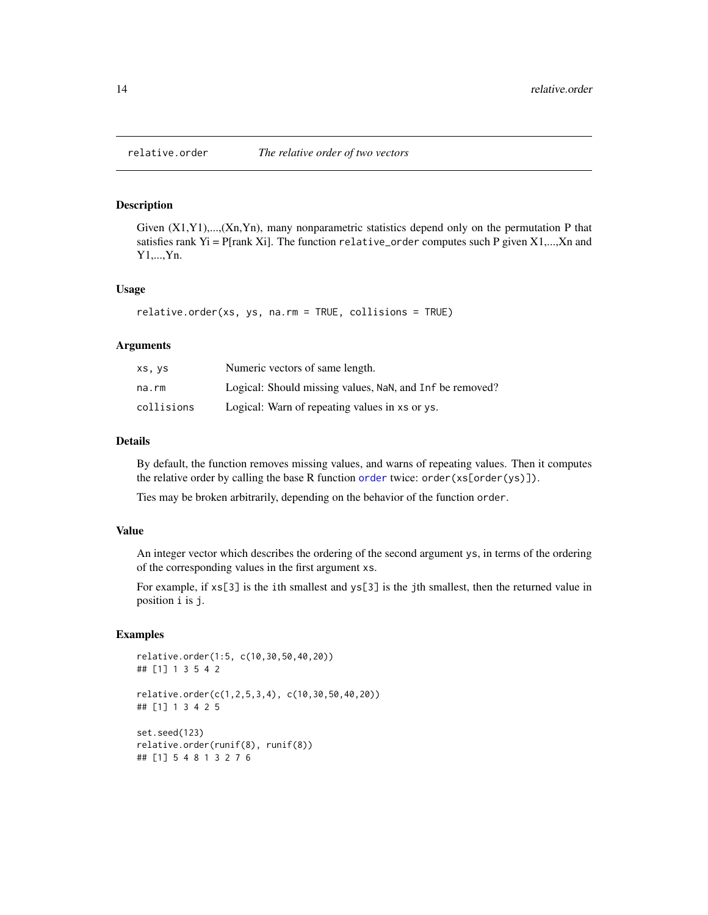<span id="page-13-1"></span><span id="page-13-0"></span>

#### Description

Given  $(X1, Y1)$ ,..., $(Xn, Yn)$ , many nonparametric statistics depend only on the permutation P that satisfies rank Yi = P[rank Xi]. The function relative\_order computes such P given  $X1, ..., Xn$  and Y1,...,Yn.

#### Usage

```
relative.order(xs, ys, na.rm = TRUE, collisions = TRUE)
```
#### Arguments

| xs, ys     | Numeric vectors of same length.                          |
|------------|----------------------------------------------------------|
| na.rm      | Logical: Should missing values, NaN, and Inf be removed? |
| collisions | Logical: Warn of repeating values in xs or ys.           |

#### Details

By default, the function removes missing values, and warns of repeating values. Then it computes the relative order by calling the base R function [order](#page-0-0) twice: order(xs[order(ys)]).

Ties may be broken arbitrarily, depending on the behavior of the function order.

#### Value

An integer vector which describes the ordering of the second argument ys, in terms of the ordering of the corresponding values in the first argument xs.

For example, if  $x \le 3$ ] is the ith smallest and  $y \le 3$ ] is the jth smallest, then the returned value in position i is j.

```
relative.order(1:5, c(10,30,50,40,20))
## [1] 1 3 5 4 2
relative.order(c(1,2,5,3,4), c(10,30,50,40,20))
## [1] 1 3 4 2 5
set.seed(123)
relative.order(runif(8), runif(8))
## [1] 5 4 8 1 3 2 7 6
```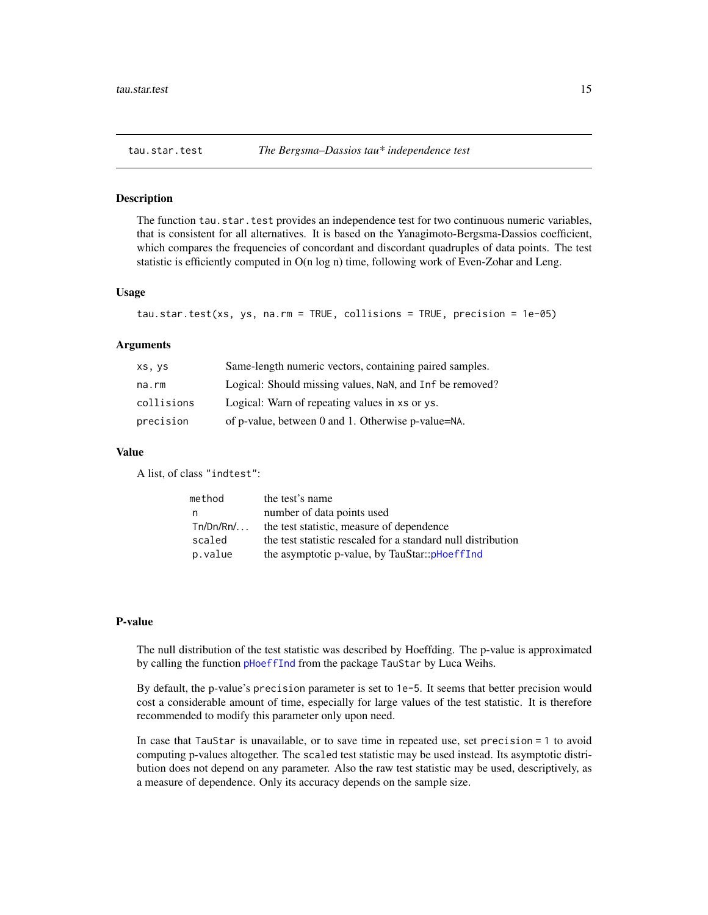#### <span id="page-14-1"></span><span id="page-14-0"></span>Description

The function tau.star.test provides an independence test for two continuous numeric variables, that is consistent for all alternatives. It is based on the Yanagimoto-Bergsma-Dassios coefficient, which compares the frequencies of concordant and discordant quadruples of data points. The test statistic is efficiently computed in O(n log n) time, following work of Even-Zohar and Leng.

#### Usage

```
tau.star.test(xs, ys, na.rm = TRUE, collisions = TRUE, precision = 1e-05)
```
#### Arguments

| XS, YS     | Same-length numeric vectors, containing paired samples.  |
|------------|----------------------------------------------------------|
| na.rm      | Logical: Should missing values, NaN, and Inf be removed? |
| collisions | Logical: Warn of repeating values in xs or ys.           |
| precision  | of p-value, between 0 and 1. Otherwise p-value=NA.       |

#### Value

A list, of class "indtest":

| method      | the test's name                                              |
|-------------|--------------------------------------------------------------|
| n           | number of data points used                                   |
| $Tn/Dn/Rn/$ | the test statistic, measure of dependence                    |
| scaled      | the test statistic rescaled for a standard null distribution |
| p.value     | the asymptotic p-value, by TauStar::pHoeffInd                |

#### P-value

The null distribution of the test statistic was described by Hoeffding. The p-value is approximated by calling the function [pHoeffInd](#page-0-0) from the package TauStar by Luca Weihs.

By default, the p-value's precision parameter is set to 1e-5. It seems that better precision would cost a considerable amount of time, especially for large values of the test statistic. It is therefore recommended to modify this parameter only upon need.

In case that TauStar is unavailable, or to save time in repeated use, set precision = 1 to avoid computing p-values altogether. The scaled test statistic may be used instead. Its asymptotic distribution does not depend on any parameter. Also the raw test statistic may be used, descriptively, as a measure of dependence. Only its accuracy depends on the sample size.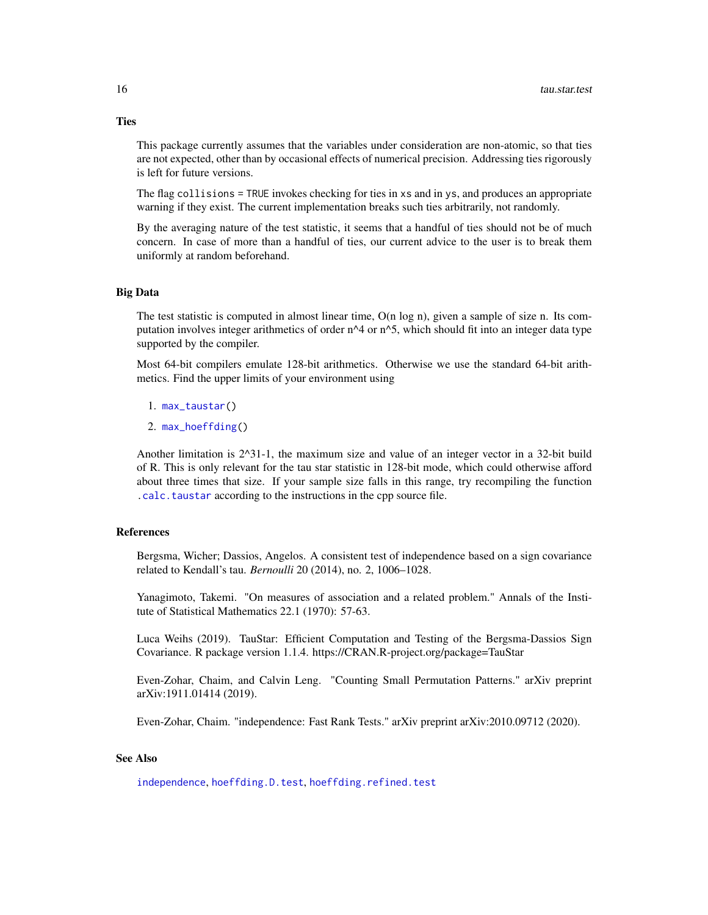This package currently assumes that the variables under consideration are non-atomic, so that ties are not expected, other than by occasional effects of numerical precision. Addressing ties rigorously is left for future versions.

The flag collisions = TRUE invokes checking for ties in xs and in ys, and produces an appropriate warning if they exist. The current implementation breaks such ties arbitrarily, not randomly.

By the averaging nature of the test statistic, it seems that a handful of ties should not be of much concern. In case of more than a handful of ties, our current advice to the user is to break them uniformly at random beforehand.

#### Big Data

The test statistic is computed in almost linear time, O(n log n), given a sample of size n. Its computation involves integer arithmetics of order n^4 or n^5, which should fit into an integer data type supported by the compiler.

Most 64-bit compilers emulate 128-bit arithmetics. Otherwise we use the standard 64-bit arithmetics. Find the upper limits of your environment using

- 1. [max\\_taustar\(](#page-12-1))
- 2. [max\\_hoeffding\(](#page-11-1))

Another limitation is 2^31-1, the maximum size and value of an integer vector in a 32-bit build of R. This is only relevant for the tau star statistic in 128-bit mode, which could otherwise afford about three times that size. If your sample size falls in this range, try recompiling the function [.calc.taustar](#page-3-1) according to the instructions in the cpp source file.

#### References

Bergsma, Wicher; Dassios, Angelos. A consistent test of independence based on a sign covariance related to Kendall's tau. *Bernoulli* 20 (2014), no. 2, 1006–1028.

Yanagimoto, Takemi. "On measures of association and a related problem." Annals of the Institute of Statistical Mathematics 22.1 (1970): 57-63.

Luca Weihs (2019). TauStar: Efficient Computation and Testing of the Bergsma-Dassios Sign Covariance. R package version 1.1.4. https://CRAN.R-project.org/package=TauStar

Even-Zohar, Chaim, and Calvin Leng. "Counting Small Permutation Patterns." arXiv preprint arXiv:1911.01414 (2019).

Even-Zohar, Chaim. "independence: Fast Rank Tests." arXiv preprint arXiv:2010.09712 (2020).

#### See Also

[independence](#page-10-1), [hoeffding.D.test](#page-6-1), [hoeffding.refined.test](#page-8-1)

#### <span id="page-15-0"></span>**Ties**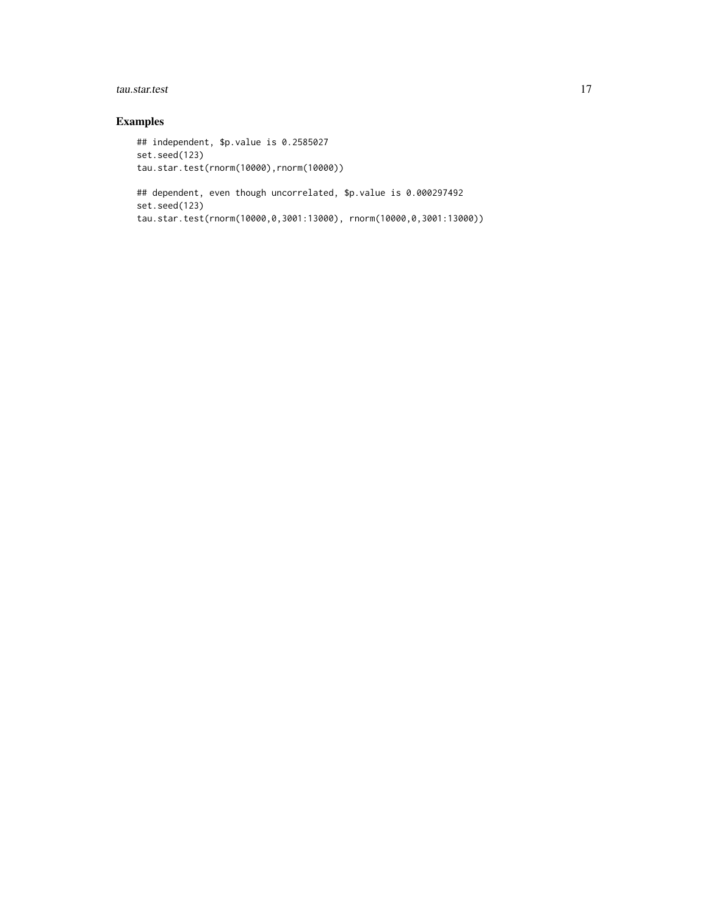#### tau.star.test 17

```
## independent, $p.value is 0.2585027
set.seed(123)
tau.star.test(rnorm(10000),rnorm(10000))
## dependent, even though uncorrelated, $p.value is 0.000297492
set.seed(123)
tau.star.test(rnorm(10000,0,3001:13000), rnorm(10000,0,3001:13000))
```